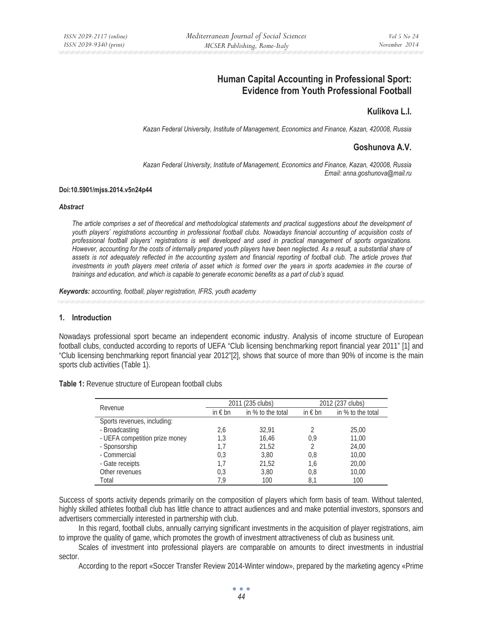# **Human Capital Accounting in Professional Sport: Evidence from Youth Professional Football**

# **Kulikova L.I.**

*Kazan Federal University, Institute of Management, Economics and Finance, Kazan, 420008, Russia* 

# **Goshunova A.V.**

*Kazan Federal University, Institute of Management, Economics and Finance, Kazan, 420008, Russia Email: anna.goshunova@mail.ru* 

#### **Doi:10.5901/mjss.2014.v5n24p44**

#### *Abstract*

*The article comprises a set of theoretical and methodological statements and practical suggestions about the development of youth players' registrations accounting in professional football clubs. Nowadays financial accounting of acquisition costs of professional football players' registrations is well developed and used in practical management of sports organizations. However, accounting for the costs of internally prepared youth players have been neglected. As a result, a substantial share of assets is not adequately reflected in the accounting system and financial reporting of football club. The article proves that investments in youth players meet criteria of asset which is formed over the years in sports academies in the course of trainings and education, and which is capable to generate economic benefits as a part of club's squad.* 

*Keywords: accounting, football, player registration, IFRS, youth academy*

#### **1. Introduction**

Nowadays professional sport became an independent economic industry. Analysis of income structure of European football clubs, conducted according to reports of UEFA "Club licensing benchmarking report financial year 2011" [1] and "Club licensing benchmarking report financial year 2012"[2], shows that source of more than 90% of income is the main sports club activities (Table 1).

|                                | 2011 (235 clubs) |                   | 2012 (237 clubs) |                   |
|--------------------------------|------------------|-------------------|------------------|-------------------|
| Revenue                        | in $\epsilon$ bn | in % to the total | in $\epsilon$ bn | in % to the total |
| Sports revenues, including:    |                  |                   |                  |                   |
| - Broadcasting                 | 2,6              | 32,91             |                  | 25,00             |
| - UEFA competition prize money | 1,3              | 16,46             | 0,9              | 11,00             |
| - Sponsorship                  | 1,7              | 21,52             | 2                | 24,00             |
| - Commercial                   | 0,3              | 3.80              | 0,8              | 10,00             |
| - Gate receipts                | 1.7              | 21,52             | 1,6              | 20,00             |
| Other revenues                 | 0,3              | 3,80              | 0,8              | 10,00             |
| Total                          | 7.9              | 100               | 8,1              | 100               |

**Table 1:** Revenue structure of European football clubs

Success of sports activity depends primarily on the composition of players which form basis of team. Without talented, highly skilled athletes football club has little chance to attract audiences and and make potential investors, sponsors and advertisers commercially interested in partnership with club.

In this regard, football clubs, annually carrying significant investments in the acquisition of player registrations, aim to improve the quality of game, which promotes the growth of investment attractiveness of club as business unit.

Scales of investment into professional players are comparable on amounts to direct investments in industrial sector.

According to the report «Soccer Transfer Review 2014-Winter window», prepared by the marketing agency «Prime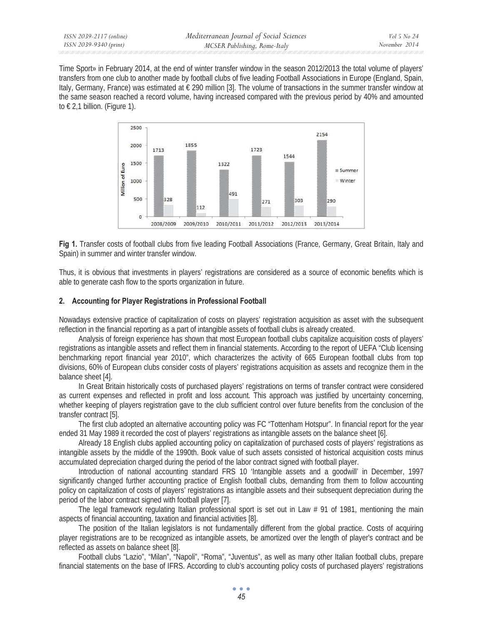Time Sport» in February 2014, at the end of winter transfer window in the season 2012/2013 the total volume of players' transfers from one club to another made by football clubs of five leading Football Associations in Europe (England, Spain, Italy, Germany, France) was estimated at  $\epsilon$  290 million [3]. The volume of transactions in the summer transfer window at the same season reached a record volume, having increased compared with the previous period by 40% and amounted to  $\in$  2,1 billion. (Figure 1).



**Fig 1.** Transfer costs of football clubs from five leading Football Associations (France, Germany, Great Britain, Italy and Spain) in summer and winter transfer window.

Thus, it is obvious that investments in players' registrations are considered as a source of economic benefits which is able to generate cash flow to the sports organization in future.

### **2. Accounting for Player Registrations in Professional Football**

Nowadays extensive practice of capitalization of costs on players' registration acquisition as asset with the subsequent reflection in the financial reporting as a part of intangible assets of football clubs is already created.

Analysis of foreign experience has shown that most European football clubs capitalize acquisition costs of players' registrations as intangible assets and reflect them in financial statements. According to the report of UEFA "Club licensing benchmarking report financial year 2010", which characterizes the activity of 665 European football clubs from top divisions, 60% of European clubs consider costs of players' registrations acquisition as assets and recognize them in the balance sheet [4].

In Great Britain historically costs of purchased players' registrations on terms of transfer contract were considered as current expenses and reflected in profit and loss account. This approach was justified by uncertainty concerning, whether keeping of players registration gave to the club sufficient control over future benefits from the conclusion of the transfer contract [5].

The first club adopted an alternative accounting policy was FC "Tottenham Hotspur". In financial report for the year ended 31 May 1989 it recorded the cost of players' registrations as intangible assets on the balance sheet [6].

Already 18 English clubs applied accounting policy on capitalization of purchased costs of players' registrations as intangible assets by the middle of the 1990th. Book value of such assets consisted of historical acquisition costs minus accumulated depreciation charged during the period of the labor contract signed with football player.

Introduction of national accounting standard FRS 10 'Intangible assets and a goodwill' in December, 1997 significantly changed further accounting practice of English football clubs, demanding from them to follow accounting policy on capitalization of costs of players' registrations as intangible assets and their subsequent depreciation during the period of the labor contract signed with football player [7].

The legal framework regulating Italian professional sport is set out in Law # 91 of 1981, mentioning the main aspects of financial accounting, taxation and financial activities [8].

The position of the Italian legislators is not fundamentally different from the global practice. Costs of acquiring player registrations are to be recognized as intangible assets, be amortized over the length of player's contract and be reflected as assets on balance sheet [8].

Football clubs "Lazio", "Milan", "Napoli", "Roma", "Juventus", as well as many other Italian football clubs, prepare financial statements on the base of IFRS. According to club's accounting policy costs of purchased players' registrations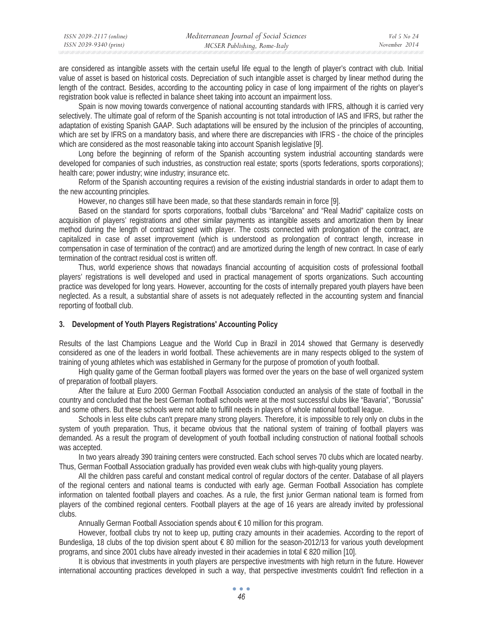are considered as intangible assets with the certain useful life equal to the length of player's contract with club. Initial value of asset is based on historical costs. Depreciation of such intangible asset is charged by linear method during the length of the contract. Besides, according to the accounting policy in case of long impairment of the rights on player's registration book value is reflected in balance sheet taking into account an impairment loss.

Spain is now moving towards convergence of national accounting standards with IFRS, although it is carried very selectively. The ultimate goal of reform of the Spanish accounting is not total introduction of IAS and IFRS, but rather the adaptation of existing Spanish GAAP. Such adaptations will be ensured by the inclusion of the principles of accounting, which are set by IFRS on a mandatory basis, and where there are discrepancies with IFRS - the choice of the principles which are considered as the most reasonable taking into account Spanish legislative [9].

Long before the beginning of reform of the Spanish accounting system industrial accounting standards were developed for companies of such industries, as construction real estate; sports (sports federations, sports corporations); health care; power industry; wine industry; insurance etc.

Reform of the Spanish accounting requires a revision of the existing industrial standards in order to adapt them to the new accounting principles.

However, no changes still have been made, so that these standards remain in force [9].

Based on the standard for sports corporations, football clubs "Barcelona" and "Real Madrid" capitalize costs on acquisition of players' registrations and other similar payments as intangible assets and amortization them by linear method during the length of contract signed with player. The costs connected with prolongation of the contract, are capitalized in case of asset improvement (which is understood as prolongation of contract length, increase in compensation in case of termination of the contract) and are amortized during the length of new contract. In case of early termination of the contract residual cost is written off.

Thus, world experience shows that nowadays financial accounting of acquisition costs of professional football players' registrations is well developed and used in practical management of sports organizations. Such accounting practice was developed for long years. However, accounting for the costs of internally prepared youth players have been neglected. As a result, a substantial share of assets is not adequately reflected in the accounting system and financial reporting of football club.

#### **3. Development of Youth Players Registrations' Accounting Policy**

Results of the last Champions League and the World Cup in Brazil in 2014 showed that Germany is deservedly considered as one of the leaders in world football. These achievements are in many respects obliged to the system of training of young athletes which was established in Germany for the purpose of promotion of youth football.

High quality game of the German football players was formed over the years on the base of well organized system of preparation of football players.

After the failure at Euro 2000 German Football Association conducted an analysis of the state of football in the country and concluded that the best German football schools were at the most successful clubs like "Bavaria", "Borussia" and some others. But these schools were not able to fulfill needs in players of whole national football league.

Schools in less elite clubs can't prepare many strong players. Therefore, it is impossible to rely only on clubs in the system of youth preparation. Thus, it became obvious that the national system of training of football players was demanded. As a result the program of development of youth football including construction of national football schools was accepted.

In two years already 390 training centers were constructed. Each school serves 70 clubs which are located nearby. Thus, German Football Association gradually has provided even weak clubs with high-quality young players.

All the children pass careful and constant medical control of regular doctors of the center. Database of all players of the regional centers and national teams is conducted with early age. German Football Association has complete information on talented football players and coaches. As a rule, the first junior German national team is formed from players of the combined regional centers. Football players at the age of 16 years are already invited by professional clubs.

Annually German Football Association spends about  $\epsilon$  10 million for this program.

However, football clubs try not to keep up, putting crazy amounts in their academies. According to the report of Bundesliga, 18 clubs of the top division spent about  $\epsilon$  80 million for the season-2012/13 for various youth development programs, and since 2001 clubs have already invested in their academies in total € 820 million [10].

It is obvious that investments in youth players are perspective investments with high return in the future. However international accounting practices developed in such a way, that perspective investments couldn't find reflection in a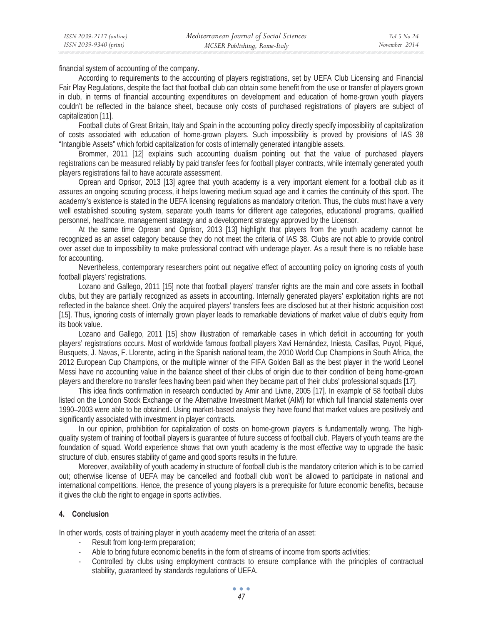financial system of accounting of the company.

According to requirements to the accounting of players registrations, set by UEFA Club Licensing and Financial Fair Play Regulations, despite the fact that football club can obtain some benefit from the use or transfer of players grown in club, in terms of financial accounting expenditures on development and education of home-grown youth players couldn't be reflected in the balance sheet, because only costs of purchased registrations of players are subject of capitalization [11].

Football clubs of Great Britain, Italy and Spain in the accounting policy directly specify impossibility of capitalization of costs associated with education of home-grown players. Such impossibility is proved by provisions of IAS 38 "Intangible Assets" which forbid capitalization for costs of internally generated intangible assets.

Brommer, 2011 [12] explains such accounting dualism pointing out that the value of purchased players registrations can be measured reliably by paid transfer fees for football player contracts, while internally generated youth players registrations fail to have accurate assessment.

Oprean and Oprisor, 2013 [13] agree that youth academy is a very important element for a football club as it assures an ongoing scouting process, it helps lowering medium squad age and it carries the continuity of this sport. The academy's existence is stated in the UEFA licensing regulations as mandatory criterion. Thus, the clubs must have a very well established scouting system, separate youth teams for different age categories, educational programs, qualified personnel, healthcare, management strategy and a development strategy approved by the Licensor.

At the same time Oprean and Oprisor, 2013 [13] highlight that players from the youth academy cannot be recognized as an asset category because they do not meet the criteria of IAS 38. Clubs are not able to provide control over asset due to impossibility to make professional contract with underage player. As a result there is no reliable base for accounting.

Nevertheless, contemporary researchers point out negative effect of accounting policy on ignoring costs of youth football players' registrations.

Lozano and Gallego, 2011 [15] note that football players' transfer rights are the main and core assets in football clubs, but they are partially recognized as assets in accounting. Internally generated players' exploitation rights are not reflected in the balance sheet. Only the acquired players' transfers fees are disclosed but at their historic acquisition cost [15]. Thus, ignoring costs of internally grown player leads to remarkable deviations of market value of club's equity from its book value.

Lozano and Gallego, 2011 [15] show illustration of remarkable cases in which deficit in accounting for youth players' registrations occurs. Most of worldwide famous football players Xavi Hernández, Iniesta, Casillas, Puyol, Piqué, Busquets, J. Navas, F. Llorente, acting in the Spanish national team, the 2010 World Cup Champions in South Africa, the 2012 European Cup Champions, or the multiple winner of the FIFA Golden Ball as the best player in the world Leonel Messi have no accounting value in the balance sheet of their clubs of origin due to their condition of being home-grown players and therefore no transfer fees having been paid when they became part of their clubs' professional squads [17].

This idea finds confirmation in research conducted by Amir and Livne, 2005 [17]. In example of 58 football clubs listed on the London Stock Exchange or the Alternative Investment Market (AIM) for which full financial statements over 1990–2003 were able to be obtained. Using market-based analysis they have found that market values are positively and significantly associated with investment in player contracts.

In our opinion, prohibition for capitalization of costs on home-grown players is fundamentally wrong. The highquality system of training of football players is guarantee of future success of football club. Players of youth teams are the foundation of squad. World experience shows that own youth academy is the most effective way to upgrade the basic structure of club, ensures stability of game and good sports results in the future.

Moreover, availability of youth academy in structure of football club is the mandatory criterion which is to be carried out; otherwise license of UEFA may be cancelled and football club won't be allowed to participate in national and international competitions. Hence, the presence of young players is a prerequisite for future economic benefits, because it gives the club the right to engage in sports activities.

### **4. Conclusion**

In other words, costs of training player in youth academy meet the criteria of an asset:

- Result from long-term preparation;
- Able to bring future economic benefits in the form of streams of income from sports activities;
- Controlled by clubs using employment contracts to ensure compliance with the principles of contractual stability, guaranteed by standards regulations of UEFA.